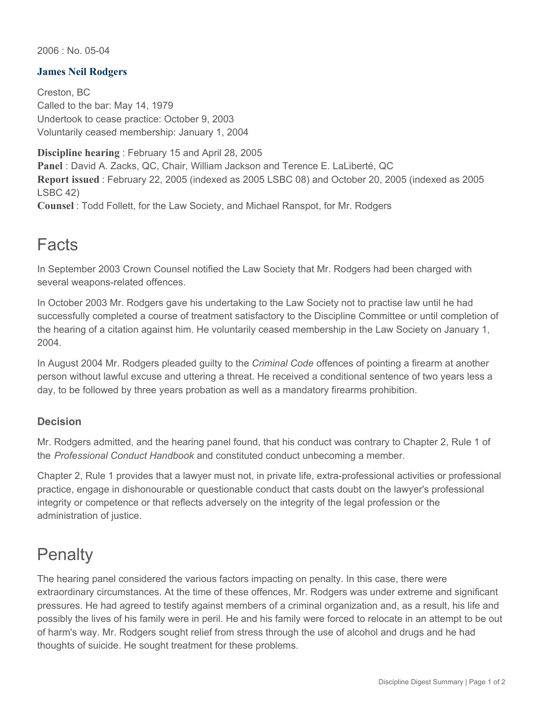2006 : No. 05-04

## **James Neil Rodgers**

Creston, BC Called to the bar: May 14, 1979 Undertook to cease practice: October 9, 2003 Voluntarily ceased membership: January 1, 2004

**Discipline hearing** : February 15 and April 28, 2005 **Panel** : David A. Zacks, QC, Chair, William Jackson and Terence E. LaLiberté, QC **Report issued** : February 22, 2005 (indexed as 2005 LSBC 08) and October 20, 2005 (indexed as 2005 LSBC 42)

**Counsel** : Todd Follett, for the Law Society, and Michael Ranspot, for Mr. Rodgers

## Facts

In September 2003 Crown Counsel notified the Law Society that Mr. Rodgers had been charged with several weapons-related offences.

In October 2003 Mr. Rodgers gave his undertaking to the Law Society not to practise law until he had successfully completed a course of treatment satisfactory to the Discipline Committee or until completion of the hearing of a citation against him. He voluntarily ceased membership in the Law Society on January 1, 2004.

In August 2004 Mr. Rodgers pleaded guilty to the *Criminal Code* offences of pointing a firearm at another person without lawful excuse and uttering a threat. He received a conditional sentence of two years less a day, to be followed by three years probation as well as a mandatory firearms prohibition.

## **Decision**

Mr. Rodgers admitted, and the hearing panel found, that his conduct was contrary to Chapter 2, Rule 1 of the *Professional Conduct Handbook* and constituted conduct unbecoming a member.

Chapter 2, Rule 1 provides that a lawyer must not, in private life, extra-professional activities or professional practice, engage in dishonourable or questionable conduct that casts doubt on the lawyer's professional integrity or competence or that reflects adversely on the integrity of the legal profession or the administration of justice.

## **Penalty**

The hearing panel considered the various factors impacting on penalty. In this case, there were extraordinary circumstances. At the time of these offences, Mr. Rodgers was under extreme and significant pressures. He had agreed to testify against members of a criminal organization and, as a result, his life and possibly the lives of his family were in peril. He and his family were forced to relocate in an attempt to be out of harm's way. Mr. Rodgers sought relief from stress through the use of alcohol and drugs and he had thoughts of suicide. He sought treatment for these problems.